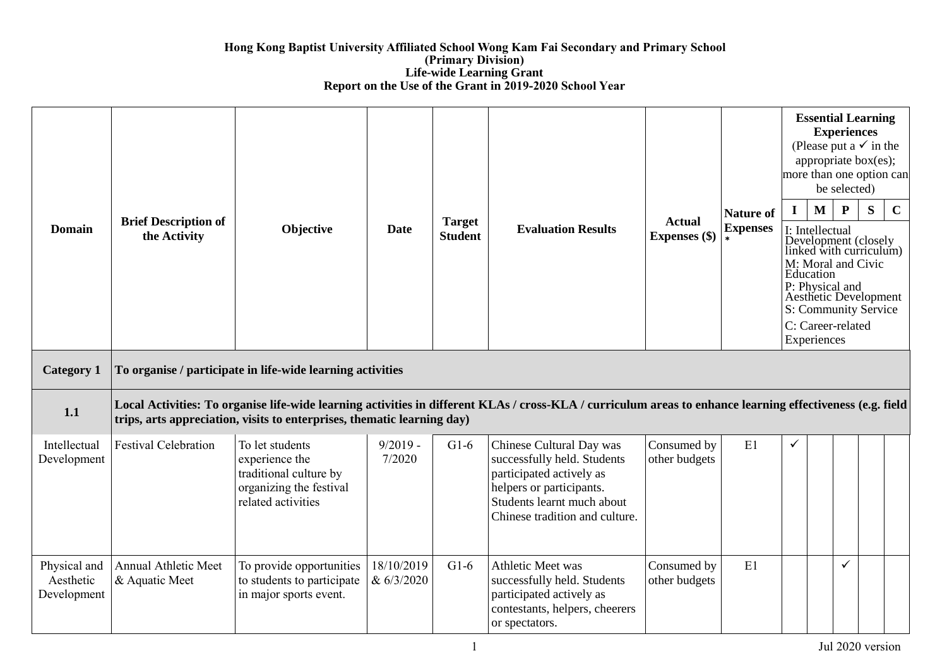## **Hong Kong Baptist University Affiliated School Wong Kam Fai Secondary and Primary School (Primary Division) Life-wide Learning Grant Report on the Use of the Grant in 2019-2020 School Year**

| <b>Domain</b>                            | <b>Brief Description of</b><br>the Activity | Objective                                                                                                    | Date                     | <b>Target</b><br><b>Student</b> | <b>Evaluation Results</b>                                                                                                                                                       | <b>Actual</b><br><b>Expenses</b> (\$) | <b>Nature of</b><br><b>Expenses</b> | $\mathbf I$ | <b>Essential Learning</b><br><b>Experiences</b><br>(Please put a $\checkmark$ in the<br>appropriate box(es);<br>more than one option can<br>M<br>I: Intellectual<br>Development (closely<br>linked with curriculum)<br>M: Moral and Civic<br>Education<br>P: Physical and<br><b>Aesthetic Development</b><br>S: Community Service<br>C: Career-related<br>Experiences | be selected)<br>$\mathbf{P}$ | S | $\mathbf C$ |
|------------------------------------------|---------------------------------------------|--------------------------------------------------------------------------------------------------------------|--------------------------|---------------------------------|---------------------------------------------------------------------------------------------------------------------------------------------------------------------------------|---------------------------------------|-------------------------------------|-------------|-----------------------------------------------------------------------------------------------------------------------------------------------------------------------------------------------------------------------------------------------------------------------------------------------------------------------------------------------------------------------|------------------------------|---|-------------|
| <b>Category 1</b>                        |                                             | To organise / participate in life-wide learning activities                                                   |                          |                                 |                                                                                                                                                                                 |                                       |                                     |             |                                                                                                                                                                                                                                                                                                                                                                       |                              |   |             |
| 1.1                                      |                                             | trips, arts appreciation, visits to enterprises, thematic learning day)                                      |                          |                                 | Local Activities: To organise life-wide learning activities in different KLAs / cross-KLA / curriculum areas to enhance learning effectiveness (e.g. field                      |                                       |                                     |             |                                                                                                                                                                                                                                                                                                                                                                       |                              |   |             |
| Intellectual<br>Development              | <b>Festival Celebration</b>                 | To let students<br>experience the<br>traditional culture by<br>organizing the festival<br>related activities | $9/2019 -$<br>7/2020     | $G1-6$                          | Chinese Cultural Day was<br>successfully held. Students<br>participated actively as<br>helpers or participants.<br>Students learnt much about<br>Chinese tradition and culture. | Consumed by<br>other budgets          | E1                                  | ✓           |                                                                                                                                                                                                                                                                                                                                                                       |                              |   |             |
| Physical and<br>Aesthetic<br>Development | Annual Athletic Meet<br>& Aquatic Meet      | To provide opportunities<br>to students to participate<br>in major sports event.                             | 18/10/2019<br>& 6/3/2020 | $G1-6$                          | Athletic Meet was<br>successfully held. Students<br>participated actively as<br>contestants, helpers, cheerers<br>or spectators.                                                | Consumed by<br>other budgets          | E1                                  |             |                                                                                                                                                                                                                                                                                                                                                                       | $\checkmark$                 |   |             |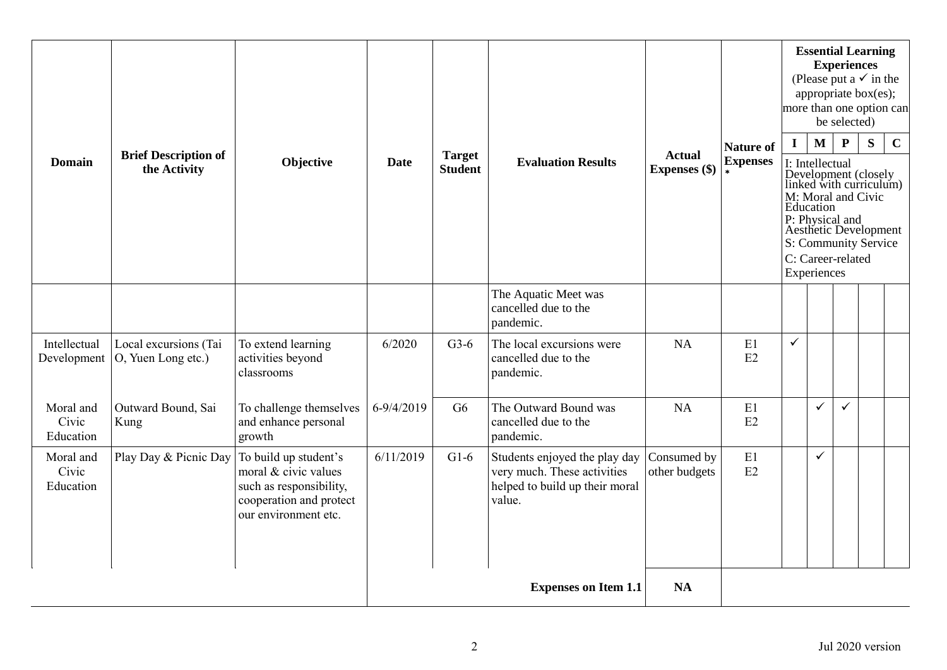| <b>Domain</b>                   | <b>Brief Description of</b><br>the Activity | Objective                                                                                                                   | <b>Date</b> | <b>Target</b><br><b>Student</b> | <b>Evaluation Results</b>                                                                                | <b>Actual</b><br>Expenses (\$) | <b>Nature of</b><br><b>Expenses</b> | $\mathbf I$ | $\mathbf{M}$<br>I: Intellectual<br>Education<br>Experiences | <b>Experiences</b><br>be selected)<br>$\mathbf{P}$<br>C: Career-related | <b>Essential Learning</b><br>(Please put a $\checkmark$ in the<br>appropriate box(es);<br>more than one option can<br>S<br>Development (closely<br>linked with curriculum)<br>M: Moral and Civic<br>P: Physical and<br>Aesthetic Development<br>S: Community Service | $\mathbf C$ |
|---------------------------------|---------------------------------------------|-----------------------------------------------------------------------------------------------------------------------------|-------------|---------------------------------|----------------------------------------------------------------------------------------------------------|--------------------------------|-------------------------------------|-------------|-------------------------------------------------------------|-------------------------------------------------------------------------|----------------------------------------------------------------------------------------------------------------------------------------------------------------------------------------------------------------------------------------------------------------------|-------------|
|                                 |                                             |                                                                                                                             |             |                                 | The Aquatic Meet was<br>cancelled due to the<br>pandemic.                                                |                                |                                     |             |                                                             |                                                                         |                                                                                                                                                                                                                                                                      |             |
| Intellectual<br>Development     | Local excursions (Tai<br>O, Yuen Long etc.) | To extend learning<br>activities beyond<br>classrooms                                                                       | 6/2020      | $G3-6$                          | The local excursions were<br>cancelled due to the<br>pandemic.                                           | NA                             | E1<br>E2                            | ✓           |                                                             |                                                                         |                                                                                                                                                                                                                                                                      |             |
| Moral and<br>Civic<br>Education | Outward Bound, Sai<br>Kung                  | To challenge themselves<br>and enhance personal<br>growth                                                                   | 6-9/4/2019  | G <sub>6</sub>                  | The Outward Bound was<br>cancelled due to the<br>pandemic.                                               | NA                             | E1<br>E2                            |             | $\checkmark$                                                | $\checkmark$                                                            |                                                                                                                                                                                                                                                                      |             |
| Moral and<br>Civic<br>Education | Play Day & Picnic Day                       | To build up student's<br>moral & civic values<br>such as responsibility,<br>cooperation and protect<br>our environment etc. | 6/11/2019   | $G1-6$                          | Students enjoyed the play day<br>very much. These activities<br>helped to build up their moral<br>value. | Consumed by<br>other budgets   | E1<br>E2                            |             | $\checkmark$                                                |                                                                         |                                                                                                                                                                                                                                                                      |             |
|                                 |                                             |                                                                                                                             |             |                                 | <b>Expenses on Item 1.1</b>                                                                              | <b>NA</b>                      |                                     |             |                                                             |                                                                         |                                                                                                                                                                                                                                                                      |             |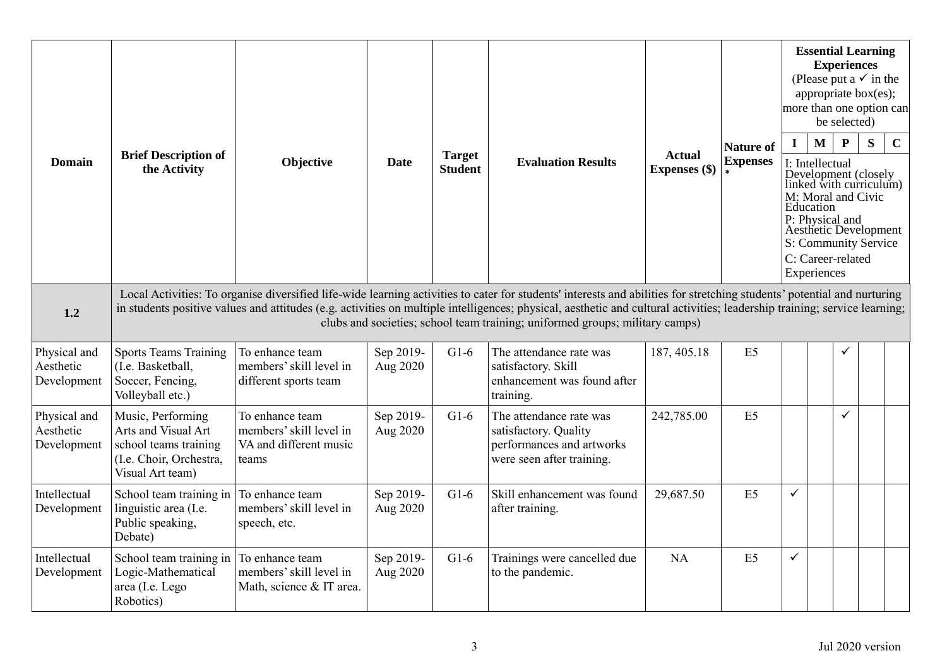| Domain                                   | <b>Brief Description of</b><br>the Activity                                                                      | Objective                                                                     | <b>Date</b>           | <b>Target</b><br><b>Student</b> | <b>Evaluation Results</b>                                                                                                                                                                                                                                                                                                                                                                                                            | <b>Actual</b><br>Expenses (\$) | <b>Nature of</b><br><b>Expenses</b> | $\mathbf I$  | <b>Essential Learning</b><br>(Please put a $\checkmark$ in the<br>appropriate box(es);<br>more than one option can<br>$\mathbf{M}$<br>I: Intellectual<br>Development (closely<br>linked with curriculum)<br>M: Moral and Civic<br>Education<br>P: Physical and<br>Aesthetic Development<br>S: Community Service<br>C: Career-related<br>Experiences | <b>Experiences</b><br>be selected)<br>$\mathbf{P}$ | S | $\mathbf C$ |
|------------------------------------------|------------------------------------------------------------------------------------------------------------------|-------------------------------------------------------------------------------|-----------------------|---------------------------------|--------------------------------------------------------------------------------------------------------------------------------------------------------------------------------------------------------------------------------------------------------------------------------------------------------------------------------------------------------------------------------------------------------------------------------------|--------------------------------|-------------------------------------|--------------|-----------------------------------------------------------------------------------------------------------------------------------------------------------------------------------------------------------------------------------------------------------------------------------------------------------------------------------------------------|----------------------------------------------------|---|-------------|
| 1.2                                      |                                                                                                                  |                                                                               |                       |                                 | Local Activities: To organise diversified life-wide learning activities to cater for students' interests and abilities for stretching students' potential and nurturing<br>in students positive values and attitudes (e.g. activities on multiple intelligences; physical, aesthetic and cultural activities; leadership training; service learning;<br>clubs and societies; school team training; uniformed groups; military camps) |                                |                                     |              |                                                                                                                                                                                                                                                                                                                                                     |                                                    |   |             |
| Physical and<br>Aesthetic<br>Development | <b>Sports Teams Training</b><br>(I.e. Basketball,<br>Soccer, Fencing,<br>Volleyball etc.)                        | To enhance team<br>members' skill level in<br>different sports team           | Sep 2019-<br>Aug 2020 | $G1-6$                          | The attendance rate was<br>satisfactory. Skill<br>enhancement was found after<br>training.                                                                                                                                                                                                                                                                                                                                           | 187, 405.18                    | E5                                  |              |                                                                                                                                                                                                                                                                                                                                                     | ✓                                                  |   |             |
| Physical and<br>Aesthetic<br>Development | Music, Performing<br>Arts and Visual Art<br>school teams training<br>(I.e. Choir, Orchestra,<br>Visual Art team) | To enhance team<br>members' skill level in<br>VA and different music<br>teams | Sep 2019-<br>Aug 2020 | $G1-6$                          | The attendance rate was<br>satisfactory. Quality<br>performances and artworks<br>were seen after training.                                                                                                                                                                                                                                                                                                                           | 242,785.00                     | E5                                  |              |                                                                                                                                                                                                                                                                                                                                                     | $\checkmark$                                       |   |             |
| Intellectual<br>Development              | School team training in<br>linguistic area (I.e.<br>Public speaking,<br>Debate)                                  | To enhance team<br>members' skill level in<br>speech, etc.                    | Sep 2019-<br>Aug 2020 | $G1-6$                          | Skill enhancement was found<br>after training.                                                                                                                                                                                                                                                                                                                                                                                       | 29,687.50                      | E5                                  | $\checkmark$ |                                                                                                                                                                                                                                                                                                                                                     |                                                    |   |             |
| Intellectual<br>Development              | School team training in<br>Logic-Mathematical<br>area (I.e. Lego<br>Robotics)                                    | To enhance team<br>members' skill level in<br>Math, science & IT area.        | Sep 2019-<br>Aug 2020 | $G1-6$                          | Trainings were cancelled due<br>to the pandemic.                                                                                                                                                                                                                                                                                                                                                                                     | NA                             | E <sub>5</sub>                      | $\checkmark$ |                                                                                                                                                                                                                                                                                                                                                     |                                                    |   |             |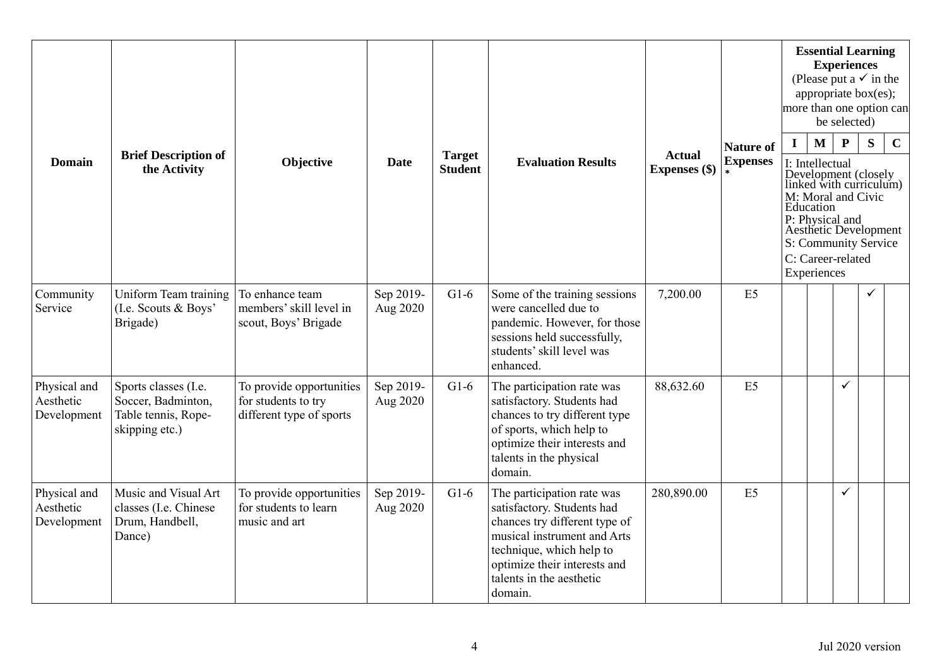| <b>Domain</b>                            | <b>Brief Description of</b><br>the Activity                                         | Objective                                                                   | <b>Date</b>           | <b>Target</b><br><b>Student</b> | <b>Evaluation Results</b>                                                                                                                                                                                                   | <b>Actual</b><br>Expenses (\$) | <b>Nature of</b><br><b>Expenses</b> | more than one option can<br>$\mathbf I$ | $\mathbf M$<br>I: Intellectual<br>Education<br>P: Physical and<br>C: Career-related | <b>Experiences</b><br>be selected)<br>$\mathbf{P}$ | <b>Essential Learning</b><br>(Please put a $\checkmark$ in the<br>appropriate box(es);<br>S<br>Development (closely<br>linked with curriculum)<br>M: Moral and Civic<br><b>Aesthetic Development</b><br>S: Community Service | $\mathbf C$ |
|------------------------------------------|-------------------------------------------------------------------------------------|-----------------------------------------------------------------------------|-----------------------|---------------------------------|-----------------------------------------------------------------------------------------------------------------------------------------------------------------------------------------------------------------------------|--------------------------------|-------------------------------------|-----------------------------------------|-------------------------------------------------------------------------------------|----------------------------------------------------|------------------------------------------------------------------------------------------------------------------------------------------------------------------------------------------------------------------------------|-------------|
| Community<br>Service                     | Uniform Team training<br>(I.e. Scouts & Boys'<br>Brigade)                           | To enhance team<br>members' skill level in<br>scout, Boys' Brigade          | Sep 2019-<br>Aug 2020 | $G1-6$                          | Some of the training sessions<br>were cancelled due to<br>pandemic. However, for those<br>sessions held successfully,<br>students' skill level was<br>enhanced.                                                             | 7,200.00                       | E5                                  |                                         | Experiences                                                                         |                                                    | ✓                                                                                                                                                                                                                            |             |
| Physical and<br>Aesthetic<br>Development | Sports classes (I.e.<br>Soccer, Badminton,<br>Table tennis, Rope-<br>skipping etc.) | To provide opportunities<br>for students to try<br>different type of sports | Sep 2019-<br>Aug 2020 | $G1-6$                          | The participation rate was<br>satisfactory. Students had<br>chances to try different type<br>of sports, which help to<br>optimize their interests and<br>talents in the physical<br>domain.                                 | 88,632.60                      | E5                                  |                                         |                                                                                     | ✓                                                  |                                                                                                                                                                                                                              |             |
| Physical and<br>Aesthetic<br>Development | Music and Visual Art<br>classes (I.e. Chinese<br>Drum, Handbell,<br>Dance)          | To provide opportunities<br>for students to learn<br>music and art          | Sep 2019-<br>Aug 2020 | $G1-6$                          | The participation rate was<br>satisfactory. Students had<br>chances try different type of<br>musical instrument and Arts<br>technique, which help to<br>optimize their interests and<br>talents in the aesthetic<br>domain. | 280,890.00                     | E <sub>5</sub>                      |                                         |                                                                                     | ✓                                                  |                                                                                                                                                                                                                              |             |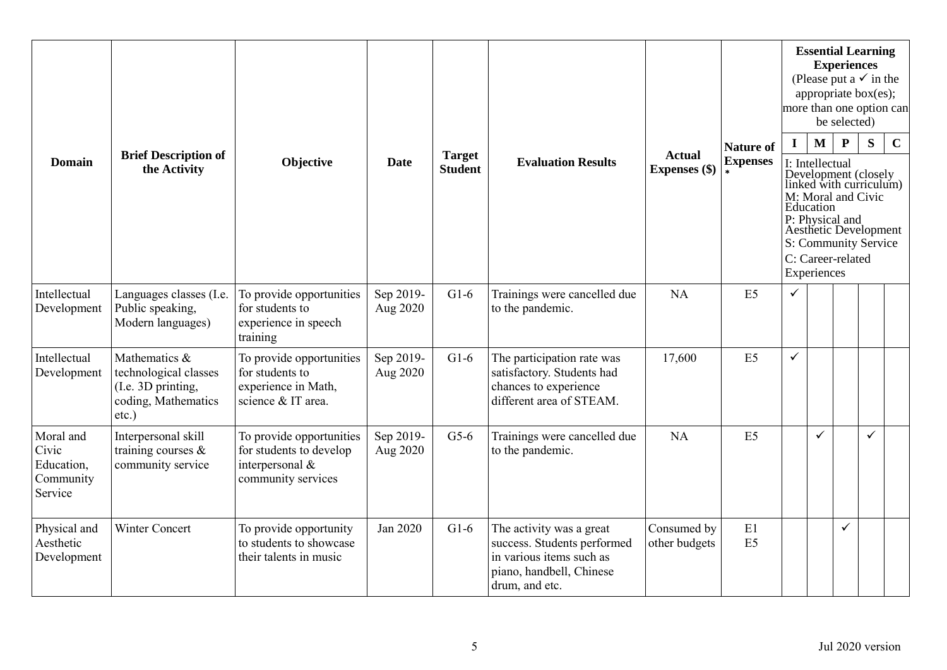|                                                          |                                                                                                 |                                                                                              |                       |                                 |                                                                                                                                   |                                |                                     | <b>Essential Learning</b><br><b>Experiences</b><br>(Please put a $\checkmark$ in the<br>appropriate box(es);<br>more than one option can<br>be selected) |                                                             |                                                                                                                                                                             |              |             |  |
|----------------------------------------------------------|-------------------------------------------------------------------------------------------------|----------------------------------------------------------------------------------------------|-----------------------|---------------------------------|-----------------------------------------------------------------------------------------------------------------------------------|--------------------------------|-------------------------------------|----------------------------------------------------------------------------------------------------------------------------------------------------------|-------------------------------------------------------------|-----------------------------------------------------------------------------------------------------------------------------------------------------------------------------|--------------|-------------|--|
| <b>Domain</b>                                            | <b>Brief Description of</b><br>the Activity                                                     | Objective                                                                                    | <b>Date</b>           | <b>Target</b><br><b>Student</b> | <b>Evaluation Results</b>                                                                                                         | <b>Actual</b><br>Expenses (\$) | <b>Nature of</b><br><b>Expenses</b> | $\mathbf{I}$                                                                                                                                             | $\mathbf{M}$<br>I: Intellectual<br>Education<br>Experiences | ${\bf P}$<br>Development (closely<br>linked with curriculum)<br>M: Moral and Civic<br>P: Physical and<br>Aesthetic Development<br>S: Community Service<br>C: Career-related | S            | $\mathbf C$ |  |
| Intellectual<br>Development                              | Languages classes (I.e.<br>Public speaking,<br>Modern languages)                                | To provide opportunities<br>for students to<br>experience in speech<br>training              | Sep 2019-<br>Aug 2020 | $G1-6$                          | Trainings were cancelled due<br>to the pandemic.                                                                                  | <b>NA</b>                      | E5                                  | $\checkmark$                                                                                                                                             |                                                             |                                                                                                                                                                             |              |             |  |
| Intellectual<br>Development                              | Mathematics &<br>technological classes<br>(I.e. 3D printing,<br>coding, Mathematics<br>$etc.$ ) | To provide opportunities<br>for students to<br>experience in Math,<br>science & IT area.     | Sep 2019-<br>Aug 2020 | $G1-6$                          | The participation rate was<br>satisfactory. Students had<br>chances to experience<br>different area of STEAM.                     | 17,600                         | E5                                  | $\checkmark$                                                                                                                                             |                                                             |                                                                                                                                                                             |              |             |  |
| Moral and<br>Civic<br>Education,<br>Community<br>Service | Interpersonal skill<br>training courses $\&$<br>community service                               | To provide opportunities<br>for students to develop<br>interpersonal &<br>community services | Sep 2019-<br>Aug 2020 | $G5-6$                          | Trainings were cancelled due<br>to the pandemic.                                                                                  | <b>NA</b>                      | E <sub>5</sub>                      |                                                                                                                                                          | ✓                                                           |                                                                                                                                                                             | $\checkmark$ |             |  |
| Physical and<br>Aesthetic<br>Development                 | <b>Winter Concert</b>                                                                           | To provide opportunity<br>to students to showcase<br>their talents in music                  | Jan 2020              | $G1-6$                          | The activity was a great<br>success. Students performed<br>in various items such as<br>piano, handbell, Chinese<br>drum, and etc. | Consumed by<br>other budgets   | E1<br>E <sub>5</sub>                |                                                                                                                                                          |                                                             | $\checkmark$                                                                                                                                                                |              |             |  |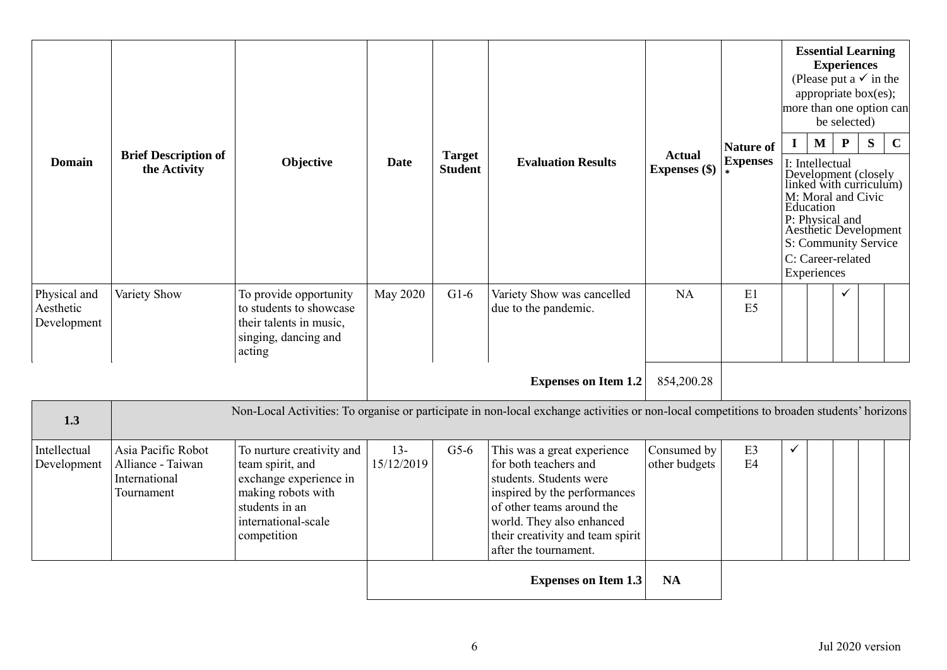| <b>Domain</b>                            | <b>Brief Description of</b><br>the Activity                            | Objective                                                                                                                                             | <b>Date</b>          | <b>Target</b><br><b>Student</b> | <b>Evaluation Results</b>                                                                                                                                                                                                              | <b>Actual</b><br>Expenses (\$) | <b>Nature of</b><br><b>Expenses</b> | <b>Essential Learning</b><br><b>Experiences</b><br>(Please put a $\checkmark$ in the<br>appropriate box(es);<br>more than one option can<br>be selected)<br>$\mathbf{M}$<br>$\mathbf{P}$<br>$\mathbf{I}$<br>I: Intellectual<br>Development (closely<br>linked with curriculum)<br>M: Moral and Civic<br>Education<br>P: Physical and<br>Aesthetic Development<br>S: Community Service<br>C: Career-related<br>Experiences |  |   | S | $\mathbf C$ |
|------------------------------------------|------------------------------------------------------------------------|-------------------------------------------------------------------------------------------------------------------------------------------------------|----------------------|---------------------------------|----------------------------------------------------------------------------------------------------------------------------------------------------------------------------------------------------------------------------------------|--------------------------------|-------------------------------------|---------------------------------------------------------------------------------------------------------------------------------------------------------------------------------------------------------------------------------------------------------------------------------------------------------------------------------------------------------------------------------------------------------------------------|--|---|---|-------------|
| Physical and<br>Aesthetic<br>Development | Variety Show                                                           | To provide opportunity<br>to students to showcase<br>their talents in music,<br>singing, dancing and<br>acting                                        | May 2020             | $G1-6$                          | Variety Show was cancelled<br>due to the pandemic.                                                                                                                                                                                     | <b>NA</b>                      | E1<br>E5                            |                                                                                                                                                                                                                                                                                                                                                                                                                           |  | ✓ |   |             |
|                                          |                                                                        |                                                                                                                                                       |                      |                                 | <b>Expenses on Item 1.2</b>                                                                                                                                                                                                            | 854,200.28                     |                                     |                                                                                                                                                                                                                                                                                                                                                                                                                           |  |   |   |             |
| 1.3                                      |                                                                        |                                                                                                                                                       |                      |                                 | Non-Local Activities: To organise or participate in non-local exchange activities or non-local competitions to broaden students' horizons                                                                                              |                                |                                     |                                                                                                                                                                                                                                                                                                                                                                                                                           |  |   |   |             |
| Intellectual<br>Development              | Asia Pacific Robot<br>Alliance - Taiwan<br>International<br>Tournament | To nurture creativity and<br>team spirit, and<br>exchange experience in<br>making robots with<br>students in an<br>international-scale<br>competition | $13 -$<br>15/12/2019 | $G5-6$                          | This was a great experience<br>for both teachers and<br>students. Students were<br>inspired by the performances<br>of other teams around the<br>world. They also enhanced<br>their creativity and team spirit<br>after the tournament. | Consumed by<br>other budgets   | E3<br>E <sub>4</sub>                | ✓                                                                                                                                                                                                                                                                                                                                                                                                                         |  |   |   |             |
|                                          |                                                                        |                                                                                                                                                       |                      |                                 | <b>Expenses on Item 1.3</b>                                                                                                                                                                                                            | <b>NA</b>                      |                                     |                                                                                                                                                                                                                                                                                                                                                                                                                           |  |   |   |             |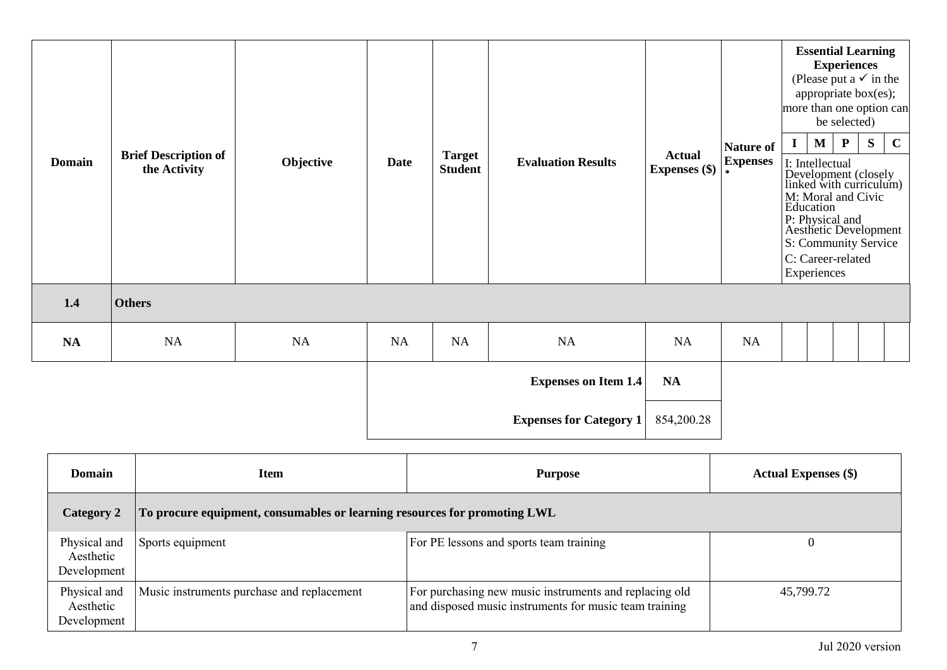| <b>Domain</b> | <b>Brief Description of</b><br>the Activity | Objective | <b>Date</b> | <b>Target</b><br><b>Student</b> | <b>Evaluation Results</b>      | <b>Actual</b><br><b>Expenses</b> (\$) | <b>Nature of</b><br><b>Expenses</b><br>$\star$ | more than one option can<br>Education | $\mathbf M$<br>I: Intellectual<br>P: Physical and<br>C: Career-related<br>Experiences | <b>Experiences</b><br>be selected)<br>$\mathbf{P}$ | <b>Essential Learning</b><br>(Please put a $\checkmark$ in the<br>appropriate box(es);<br>S<br>Development (closely<br>linked with curriculum)<br>M: Moral and Civic<br>Aesthetic Development<br>S: Community Service | $\mathbf C$ |
|---------------|---------------------------------------------|-----------|-------------|---------------------------------|--------------------------------|---------------------------------------|------------------------------------------------|---------------------------------------|---------------------------------------------------------------------------------------|----------------------------------------------------|-----------------------------------------------------------------------------------------------------------------------------------------------------------------------------------------------------------------------|-------------|
| 1.4           | <b>Others</b>                               |           |             |                                 |                                |                                       |                                                |                                       |                                                                                       |                                                    |                                                                                                                                                                                                                       |             |
| NA            | NA                                          | NA        | NA          | NA                              | NA                             | NA                                    | NA                                             |                                       |                                                                                       |                                                    |                                                                                                                                                                                                                       |             |
|               |                                             |           |             |                                 | <b>Expenses on Item 1.4</b>    | NA                                    |                                                |                                       |                                                                                       |                                                    |                                                                                                                                                                                                                       |             |
|               |                                             |           |             |                                 | <b>Expenses for Category 1</b> | 854,200.28                            |                                                |                                       |                                                                                       |                                                    |                                                                                                                                                                                                                       |             |

| Domain                                   | Item                                                                      | <b>Purpose</b>                                                                                                   | <b>Actual Expenses</b> (\$) |
|------------------------------------------|---------------------------------------------------------------------------|------------------------------------------------------------------------------------------------------------------|-----------------------------|
| Category 2                               | To procure equipment, consumables or learning resources for promoting LWL |                                                                                                                  |                             |
| Physical and<br>Aesthetic<br>Development | Sports equipment                                                          | For PE lessons and sports team training                                                                          |                             |
| Physical and<br>Aesthetic<br>Development | Music instruments purchase and replacement                                | For purchasing new music instruments and replacing old<br>and disposed music instruments for music team training | 45,799.72                   |